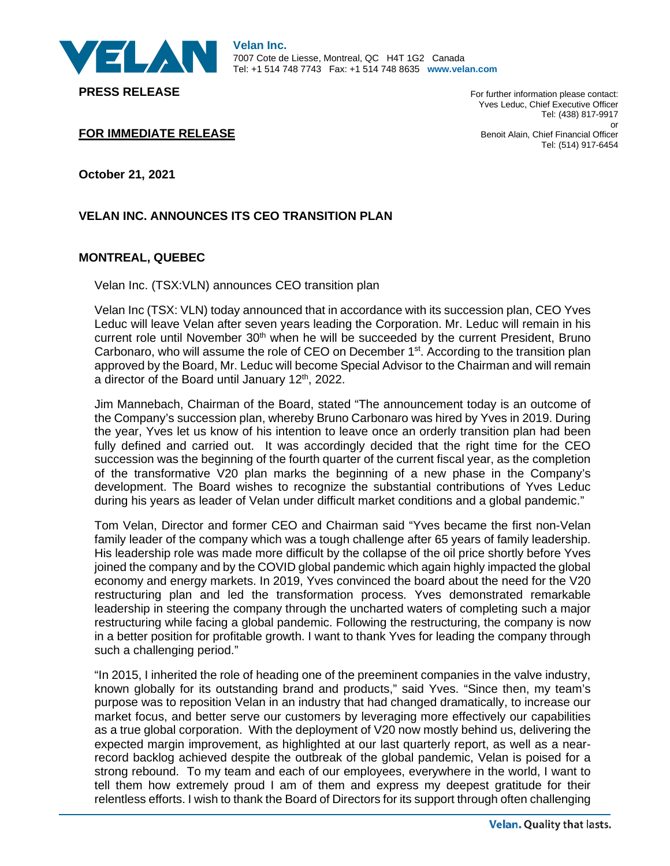

For further information please contact: Yves Leduc, Chief Executive Officer Tel: (438) 817-9917 or Benoit Alain, Chief Financial Officer Tel: (514) 917-6454

**FOR IMMEDIATE RELEASE**

**October 21, 2021**

## **VELAN INC. ANNOUNCES ITS CEO TRANSITION PLAN**

## **MONTREAL, QUEBEC**

Velan Inc. (TSX:VLN) announces CEO transition plan

Velan Inc (TSX: VLN) today announced that in accordance with its succession plan, CEO Yves Leduc will leave Velan after seven years leading the Corporation. Mr. Leduc will remain in his current role until November 30<sup>th</sup> when he will be succeeded by the current President, Bruno Carbonaro, who will assume the role of CEO on December 1<sup>st</sup>. According to the transition plan approved by the Board, Mr. Leduc will become Special Advisor to the Chairman and will remain a director of the Board until January 12<sup>th</sup>, 2022.

Jim Mannebach, Chairman of the Board, stated "The announcement today is an outcome of the Company's succession plan, whereby Bruno Carbonaro was hired by Yves in 2019. During the year, Yves let us know of his intention to leave once an orderly transition plan had been fully defined and carried out. It was accordingly decided that the right time for the CEO succession was the beginning of the fourth quarter of the current fiscal year, as the completion of the transformative V20 plan marks the beginning of a new phase in the Company's development. The Board wishes to recognize the substantial contributions of Yves Leduc during his years as leader of Velan under difficult market conditions and a global pandemic."

Tom Velan, Director and former CEO and Chairman said "Yves became the first non-Velan family leader of the company which was a tough challenge after 65 years of family leadership. His leadership role was made more difficult by the collapse of the oil price shortly before Yves joined the company and by the COVID global pandemic which again highly impacted the global economy and energy markets. In 2019, Yves convinced the board about the need for the V20 restructuring plan and led the transformation process. Yves demonstrated remarkable leadership in steering the company through the uncharted waters of completing such a major restructuring while facing a global pandemic. Following the restructuring, the company is now in a better position for profitable growth. I want to thank Yves for leading the company through such a challenging period."

"In 2015, I inherited the role of heading one of the preeminent companies in the valve industry, known globally for its outstanding brand and products," said Yves. "Since then, my team's purpose was to reposition Velan in an industry that had changed dramatically, to increase our market focus, and better serve our customers by leveraging more effectively our capabilities as a true global corporation. With the deployment of V20 now mostly behind us, delivering the expected margin improvement, as highlighted at our last quarterly report, as well as a nearrecord backlog achieved despite the outbreak of the global pandemic, Velan is poised for a strong rebound. To my team and each of our employees, everywhere in the world, I want to tell them how extremely proud I am of them and express my deepest gratitude for their relentless efforts. I wish to thank the Board of Directors for its support through often challenging